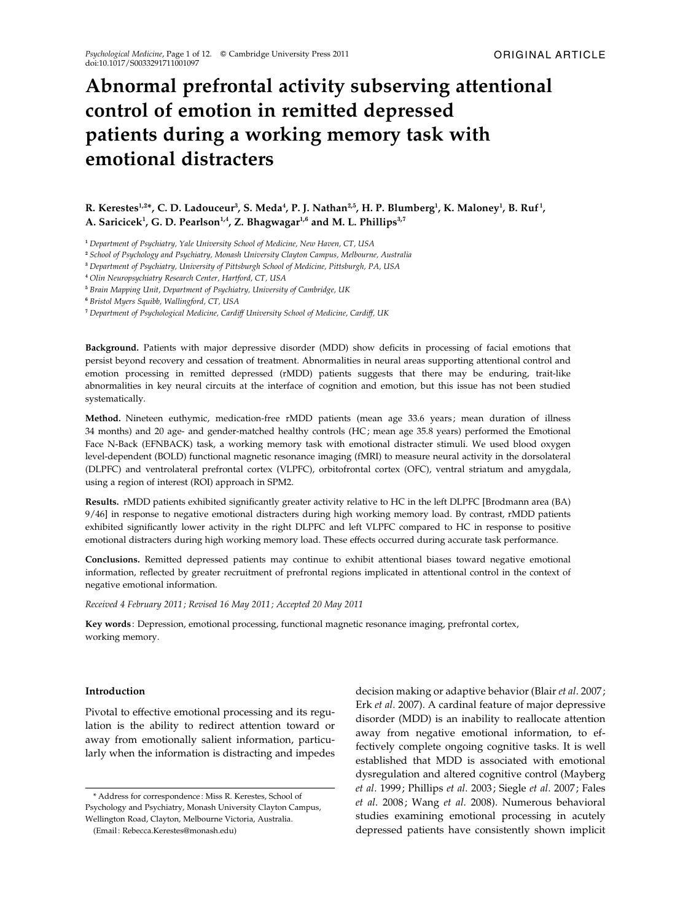# Abnormal prefrontal activity subserving attentional control of emotion in remitted depressed patients during a working memory task with emotional distracters

# R. Kerestes $^{1,2*}$ , C. D. Ladouceur $^3$ , S. Meda $^4$ , P. J. Nathan $^{2,5}$ , H. P. Blumberg $^1$ , K. Maloney $^1$ , B. Ruf $^1$ , A. Saricicek<sup>1</sup>, G. D. Pearlson<sup>1,4</sup>, Z. Bhagwagar<sup>1,6</sup> and M. L. Phillips<sup>3,7</sup>

<sup>1</sup> Department of Psychiatry, Yale University School of Medicine, New Haven, CT, USA

<sup>2</sup> School of Psychology and Psychiatry, Monash University Clayton Campus, Melbourne, Australia

<sup>4</sup> Olin Neuropsychiatry Research Center, Hartford, CT, USA

<sup>5</sup> Brain Mapping Unit, Department of Psychiatry, University of Cambridge, UK

<sup>6</sup> Bristol Myers Squibb, Wallingford, CT, USA

<sup>7</sup> Department of Psychological Medicine, Cardiff University School of Medicine, Cardiff, UK

Background. Patients with major depressive disorder (MDD) show deficits in processing of facial emotions that persist beyond recovery and cessation of treatment. Abnormalities in neural areas supporting attentional control and emotion processing in remitted depressed (rMDD) patients suggests that there may be enduring, trait-like abnormalities in key neural circuits at the interface of cognition and emotion, but this issue has not been studied systematically.

Method. Nineteen euthymic, medication-free rMDD patients (mean age 33.6 years; mean duration of illness 34 months) and 20 age- and gender-matched healthy controls (HC; mean age 35.8 years) performed the Emotional Face N-Back (EFNBACK) task, a working memory task with emotional distracter stimuli. We used blood oxygen level-dependent (BOLD) functional magnetic resonance imaging (fMRI) to measure neural activity in the dorsolateral (DLPFC) and ventrolateral prefrontal cortex (VLPFC), orbitofrontal cortex (OFC), ventral striatum and amygdala, using a region of interest (ROI) approach in SPM2.

Results. rMDD patients exhibited significantly greater activity relative to HC in the left DLPFC [Brodmann area (BA) 9/46] in response to negative emotional distracters during high working memory load. By contrast, rMDD patients exhibited significantly lower activity in the right DLPFC and left VLPFC compared to HC in response to positive emotional distracters during high working memory load. These effects occurred during accurate task performance.

Conclusions. Remitted depressed patients may continue to exhibit attentional biases toward negative emotional information, reflected by greater recruitment of prefrontal regions implicated in attentional control in the context of negative emotional information.

Received 4 February 2011 ; Revised 16 May 2011 ; Accepted 20 May 2011

Key words : Depression, emotional processing, functional magnetic resonance imaging, prefrontal cortex, working memory.

#### Introduction

Pivotal to effective emotional processing and its regulation is the ability to redirect attention toward or away from emotionally salient information, particularly when the information is distracting and impedes

(Email : Rebecca.Kerestes@monash.edu)

decision making or adaptive behavior (Blair et al. 2007; Erk et al. 2007). A cardinal feature of major depressive disorder (MDD) is an inability to reallocate attention away from negative emotional information, to effectively complete ongoing cognitive tasks. It is well established that MDD is associated with emotional dysregulation and altered cognitive control (Mayberg et al. 1999; Phillips et al. 2003; Siegle et al. 2007; Fales et al. 2008; Wang et al. 2008). Numerous behavioral studies examining emotional processing in acutely depressed patients have consistently shown implicit

<sup>3</sup> Department of Psychiatry, University of Pittsburgh School of Medicine, Pittsburgh, PA, USA

<sup>\*</sup> Address for correspondence : Miss R. Kerestes, School of Psychology and Psychiatry, Monash University Clayton Campus, Wellington Road, Clayton, Melbourne Victoria, Australia.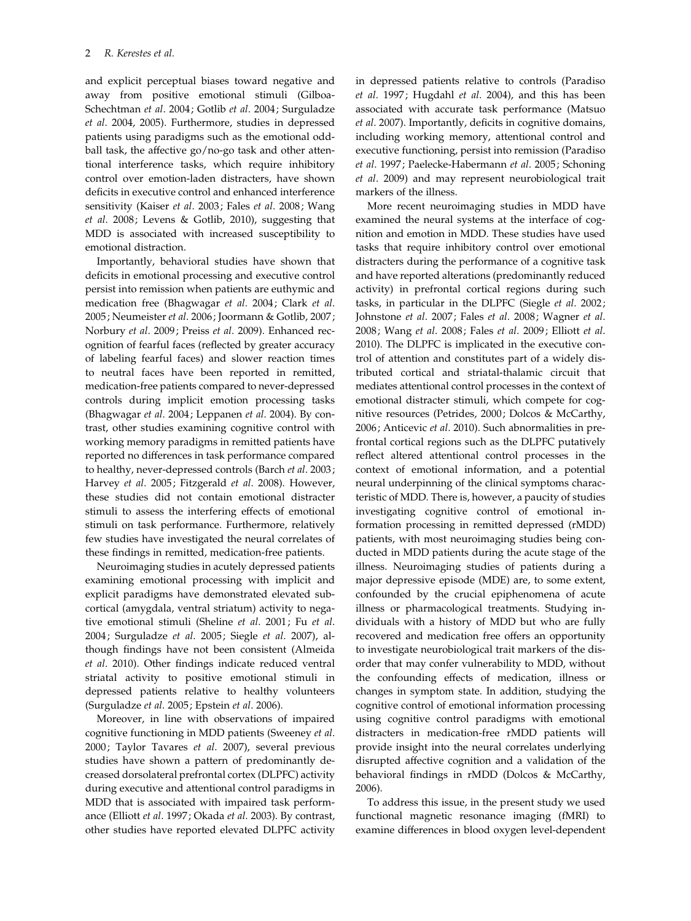and explicit perceptual biases toward negative and away from positive emotional stimuli (Gilboa-Schechtman et al. 2004; Gotlib et al. 2004; Surguladze et al. 2004, 2005). Furthermore, studies in depressed patients using paradigms such as the emotional oddball task, the affective go/no-go task and other attentional interference tasks, which require inhibitory control over emotion-laden distracters, have shown deficits in executive control and enhanced interference sensitivity (Kaiser et al. 2003; Fales et al. 2008; Wang et al. 2008; Levens & Gotlib, 2010), suggesting that MDD is associated with increased susceptibility to emotional distraction.

Importantly, behavioral studies have shown that deficits in emotional processing and executive control persist into remission when patients are euthymic and medication free (Bhagwagar et al. 2004; Clark et al. 2005; Neumeister et al. 2006; Joormann & Gotlib, 2007; Norbury et al. 2009; Preiss et al. 2009). Enhanced recognition of fearful faces (reflected by greater accuracy of labeling fearful faces) and slower reaction times to neutral faces have been reported in remitted, medication-free patients compared to never-depressed controls during implicit emotion processing tasks (Bhagwagar et al. 2004; Leppanen et al. 2004). By contrast, other studies examining cognitive control with working memory paradigms in remitted patients have reported no differences in task performance compared to healthy, never-depressed controls (Barch et al. 2003; Harvey et al. 2005; Fitzgerald et al. 2008). However, these studies did not contain emotional distracter stimuli to assess the interfering effects of emotional stimuli on task performance. Furthermore, relatively few studies have investigated the neural correlates of these findings in remitted, medication-free patients.

Neuroimaging studies in acutely depressed patients examining emotional processing with implicit and explicit paradigms have demonstrated elevated subcortical (amygdala, ventral striatum) activity to negative emotional stimuli (Sheline et al. 2001; Fu et al. 2004; Surguladze et al. 2005; Siegle et al. 2007), although findings have not been consistent (Almeida et al. 2010). Other findings indicate reduced ventral striatal activity to positive emotional stimuli in depressed patients relative to healthy volunteers (Surguladze et al. 2005; Epstein et al. 2006).

Moreover, in line with observations of impaired cognitive functioning in MDD patients (Sweeney et al. 2000; Taylor Tavares et al. 2007), several previous studies have shown a pattern of predominantly decreased dorsolateral prefrontal cortex (DLPFC) activity during executive and attentional control paradigms in MDD that is associated with impaired task performance (Elliott et al. 1997; Okada et al. 2003). By contrast, other studies have reported elevated DLPFC activity in depressed patients relative to controls (Paradiso et al. 1997; Hugdahl et al. 2004), and this has been associated with accurate task performance (Matsuo et al. 2007). Importantly, deficits in cognitive domains, including working memory, attentional control and executive functioning, persist into remission (Paradiso et al. 1997; Paelecke-Habermann et al. 2005; Schoning et al. 2009) and may represent neurobiological trait markers of the illness.

More recent neuroimaging studies in MDD have examined the neural systems at the interface of cognition and emotion in MDD. These studies have used tasks that require inhibitory control over emotional distracters during the performance of a cognitive task and have reported alterations (predominantly reduced activity) in prefrontal cortical regions during such tasks, in particular in the DLPFC (Siegle et al. 2002; Johnstone et al. 2007; Fales et al. 2008; Wagner et al. 2008; Wang et al. 2008; Fales et al. 2009; Elliott et al. 2010). The DLPFC is implicated in the executive control of attention and constitutes part of a widely distributed cortical and striatal-thalamic circuit that mediates attentional control processes in the context of emotional distracter stimuli, which compete for cognitive resources (Petrides, 2000; Dolcos & McCarthy, 2006; Anticevic et al. 2010). Such abnormalities in prefrontal cortical regions such as the DLPFC putatively reflect altered attentional control processes in the context of emotional information, and a potential neural underpinning of the clinical symptoms characteristic of MDD. There is, however, a paucity of studies investigating cognitive control of emotional information processing in remitted depressed (rMDD) patients, with most neuroimaging studies being conducted in MDD patients during the acute stage of the illness. Neuroimaging studies of patients during a major depressive episode (MDE) are, to some extent, confounded by the crucial epiphenomena of acute illness or pharmacological treatments. Studying individuals with a history of MDD but who are fully recovered and medication free offers an opportunity to investigate neurobiological trait markers of the disorder that may confer vulnerability to MDD, without the confounding effects of medication, illness or changes in symptom state. In addition, studying the cognitive control of emotional information processing using cognitive control paradigms with emotional distracters in medication-free rMDD patients will provide insight into the neural correlates underlying disrupted affective cognition and a validation of the behavioral findings in rMDD (Dolcos & McCarthy, 2006).

To address this issue, in the present study we used functional magnetic resonance imaging (fMRI) to examine differences in blood oxygen level-dependent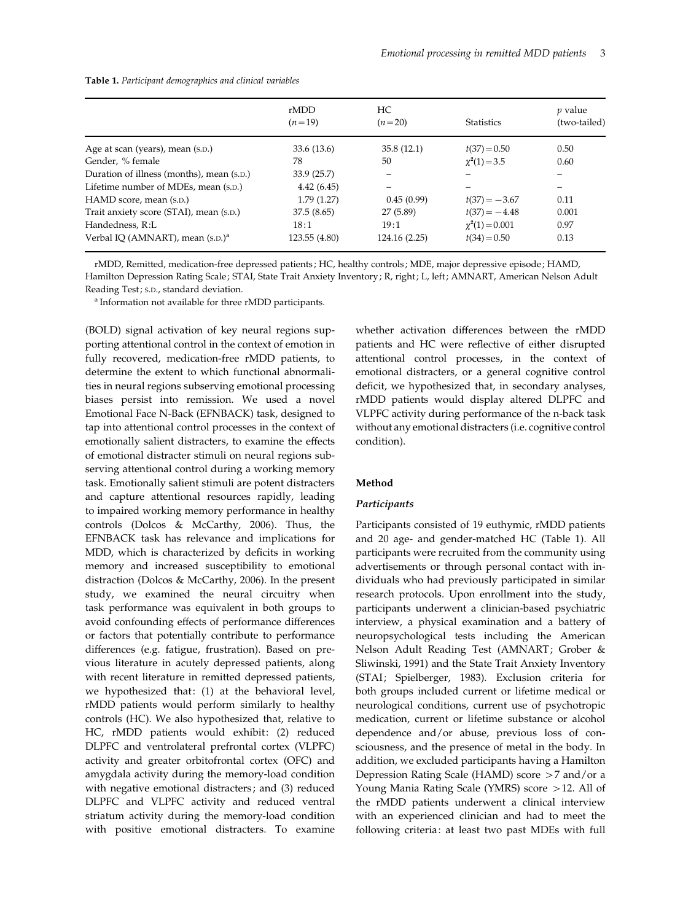|                                              | rMDD          | HC            |                       | <i>p</i> value |  |
|----------------------------------------------|---------------|---------------|-----------------------|----------------|--|
|                                              | $(n=19)$      | $(n=20)$      | <b>Statistics</b>     | (two-tailed)   |  |
| Age at scan (years), mean (s.p.)             | 33.6 (13.6)   | 35.8(12.1)    | $t(37) = 0.50$        | 0.50           |  |
| Gender, % female                             | 78            | 50            | $\chi^2(1) = 3.5$     | 0.60           |  |
| Duration of illness (months), mean (s.p.)    | 33.9(25.7)    | -             |                       |                |  |
| Lifetime number of MDEs, mean (s.p.)         | 4.42(6.45)    |               |                       |                |  |
| HAMD score, mean (s.p.)                      | 1.79(1.27)    | 0.45(0.99)    | $t(37) = -3.67$       | 0.11           |  |
| Trait anxiety score (STAI), mean (s.p.)      | 37.5(8.65)    | 27 (5.89)     | $t(37) = -4.48$       | 0.001          |  |
| Handedness, R:L                              | 18:1          | 19:1          | $\gamma^2(1) = 0.001$ | 0.97           |  |
| Verbal IO (AMNART), mean (s.p.) <sup>a</sup> | 123.55 (4.80) | 124.16 (2.25) | $t(34) = 0.50$        | 0.13           |  |

Table 1. Participant demographics and clinical variables

rMDD, Remitted, medication-free depressed patients ; HC, healthy controls ; MDE, major depressive episode ; HAMD, Hamilton Depression Rating Scale; STAI, State Trait Anxiety Inventory; R, right; L, left; AMNART, American Nelson Adult Reading Test ; S.D., standard deviation.

<sup>a</sup> Information not available for three rMDD participants.

(BOLD) signal activation of key neural regions supporting attentional control in the context of emotion in fully recovered, medication-free rMDD patients, to determine the extent to which functional abnormalities in neural regions subserving emotional processing biases persist into remission. We used a novel Emotional Face N-Back (EFNBACK) task, designed to tap into attentional control processes in the context of emotionally salient distracters, to examine the effects of emotional distracter stimuli on neural regions subserving attentional control during a working memory task. Emotionally salient stimuli are potent distracters and capture attentional resources rapidly, leading to impaired working memory performance in healthy controls (Dolcos & McCarthy, 2006). Thus, the EFNBACK task has relevance and implications for MDD, which is characterized by deficits in working memory and increased susceptibility to emotional distraction (Dolcos & McCarthy, 2006). In the present study, we examined the neural circuitry when task performance was equivalent in both groups to avoid confounding effects of performance differences or factors that potentially contribute to performance differences (e.g. fatigue, frustration). Based on previous literature in acutely depressed patients, along with recent literature in remitted depressed patients, we hypothesized that: (1) at the behavioral level, rMDD patients would perform similarly to healthy controls (HC). We also hypothesized that, relative to HC, rMDD patients would exhibit: (2) reduced DLPFC and ventrolateral prefrontal cortex (VLPFC) activity and greater orbitofrontal cortex (OFC) and amygdala activity during the memory-load condition with negative emotional distracters; and (3) reduced DLPFC and VLPFC activity and reduced ventral striatum activity during the memory-load condition with positive emotional distracters. To examine

whether activation differences between the rMDD patients and HC were reflective of either disrupted attentional control processes, in the context of emotional distracters, or a general cognitive control deficit, we hypothesized that, in secondary analyses, rMDD patients would display altered DLPFC and VLPFC activity during performance of the n-back task without any emotional distracters (i.e. cognitive control condition).

#### Method

#### Participants

Participants consisted of 19 euthymic, rMDD patients and 20 age- and gender-matched HC (Table 1). All participants were recruited from the community using advertisements or through personal contact with individuals who had previously participated in similar research protocols. Upon enrollment into the study, participants underwent a clinician-based psychiatric interview, a physical examination and a battery of neuropsychological tests including the American Nelson Adult Reading Test (AMNART; Grober & Sliwinski, 1991) and the State Trait Anxiety Inventory (STAI; Spielberger, 1983). Exclusion criteria for both groups included current or lifetime medical or neurological conditions, current use of psychotropic medication, current or lifetime substance or alcohol dependence and/or abuse, previous loss of consciousness, and the presence of metal in the body. In addition, we excluded participants having a Hamilton Depression Rating Scale (HAMD) score >7 and/or a Young Mania Rating Scale (YMRS) score >12. All of the rMDD patients underwent a clinical interview with an experienced clinician and had to meet the following criteria: at least two past MDEs with full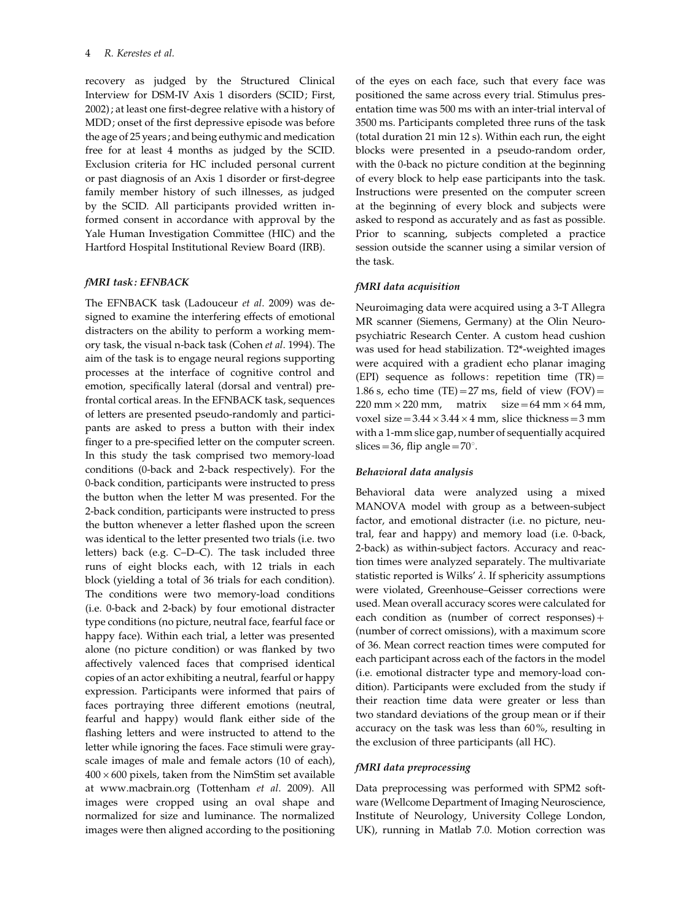recovery as judged by the Structured Clinical Interview for DSM-IV Axis 1 disorders (SCID; First, 2002); at least one first-degree relative with a history of MDD; onset of the first depressive episode was before the age of 25 years; and being euthymic and medication free for at least 4 months as judged by the SCID. Exclusion criteria for HC included personal current or past diagnosis of an Axis 1 disorder or first-degree family member history of such illnesses, as judged by the SCID. All participants provided written informed consent in accordance with approval by the Yale Human Investigation Committee (HIC) and the Hartford Hospital Institutional Review Board (IRB).

# fMRI task: EFNBACK

The EFNBACK task (Ladouceur et al. 2009) was designed to examine the interfering effects of emotional distracters on the ability to perform a working memory task, the visual n-back task (Cohen et al. 1994). The aim of the task is to engage neural regions supporting processes at the interface of cognitive control and emotion, specifically lateral (dorsal and ventral) prefrontal cortical areas. In the EFNBACK task, sequences of letters are presented pseudo-randomly and participants are asked to press a button with their index finger to a pre-specified letter on the computer screen. In this study the task comprised two memory-load conditions (0-back and 2-back respectively). For the 0-back condition, participants were instructed to press the button when the letter M was presented. For the 2-back condition, participants were instructed to press the button whenever a letter flashed upon the screen was identical to the letter presented two trials (i.e. two letters) back (e.g. C–D–C). The task included three runs of eight blocks each, with 12 trials in each block (yielding a total of 36 trials for each condition). The conditions were two memory-load conditions (i.e. 0-back and 2-back) by four emotional distracter type conditions (no picture, neutral face, fearful face or happy face). Within each trial, a letter was presented alone (no picture condition) or was flanked by two affectively valenced faces that comprised identical copies of an actor exhibiting a neutral, fearful or happy expression. Participants were informed that pairs of faces portraying three different emotions (neutral, fearful and happy) would flank either side of the flashing letters and were instructed to attend to the letter while ignoring the faces. Face stimuli were grayscale images of male and female actors (10 of each),  $400 \times 600$  pixels, taken from the NimStim set available at www.macbrain.org (Tottenham et al. 2009). All images were cropped using an oval shape and normalized for size and luminance. The normalized images were then aligned according to the positioning

of the eyes on each face, such that every face was positioned the same across every trial. Stimulus presentation time was 500 ms with an inter-trial interval of 3500 ms. Participants completed three runs of the task (total duration 21 min 12 s). Within each run, the eight blocks were presented in a pseudo-random order, with the 0-back no picture condition at the beginning of every block to help ease participants into the task. Instructions were presented on the computer screen at the beginning of every block and subjects were asked to respond as accurately and as fast as possible. Prior to scanning, subjects completed a practice session outside the scanner using a similar version of the task.

#### fMRI data acquisition

Neuroimaging data were acquired using a 3-T Allegra MR scanner (Siemens, Germany) at the Olin Neuropsychiatric Research Center. A custom head cushion was used for head stabilization. T2\*-weighted images were acquired with a gradient echo planar imaging (EPI) sequence as follows: repetition time (TR)= 1.86 s, echo time (TE)=27 ms, field of view (FOV)= 220 mm  $\times$  220 mm, matrix size = 64 mm  $\times$  64 mm, voxel size =  $3.44 \times 3.44 \times 4$  mm, slice thickness = 3 mm with a 1-mm slice gap, number of sequentially acquired slices = 36, flip angle =  $70^\circ$ .

#### Behavioral data analysis

Behavioral data were analyzed using a mixed MANOVA model with group as a between-subject factor, and emotional distracter (i.e. no picture, neutral, fear and happy) and memory load (i.e. 0-back, 2-back) as within-subject factors. Accuracy and reaction times were analyzed separately. The multivariate statistic reported is Wilks'  $\lambda$ . If sphericity assumptions were violated, Greenhouse–Geisser corrections were used. Mean overall accuracy scores were calculated for each condition as (number of correct responses) $+$ (number of correct omissions), with a maximum score of 36. Mean correct reaction times were computed for each participant across each of the factors in the model (i.e. emotional distracter type and memory-load condition). Participants were excluded from the study if their reaction time data were greater or less than two standard deviations of the group mean or if their accuracy on the task was less than 60%, resulting in the exclusion of three participants (all HC).

#### fMRI data preprocessing

Data preprocessing was performed with SPM2 software (Wellcome Department of Imaging Neuroscience, Institute of Neurology, University College London, UK), running in Matlab 7.0. Motion correction was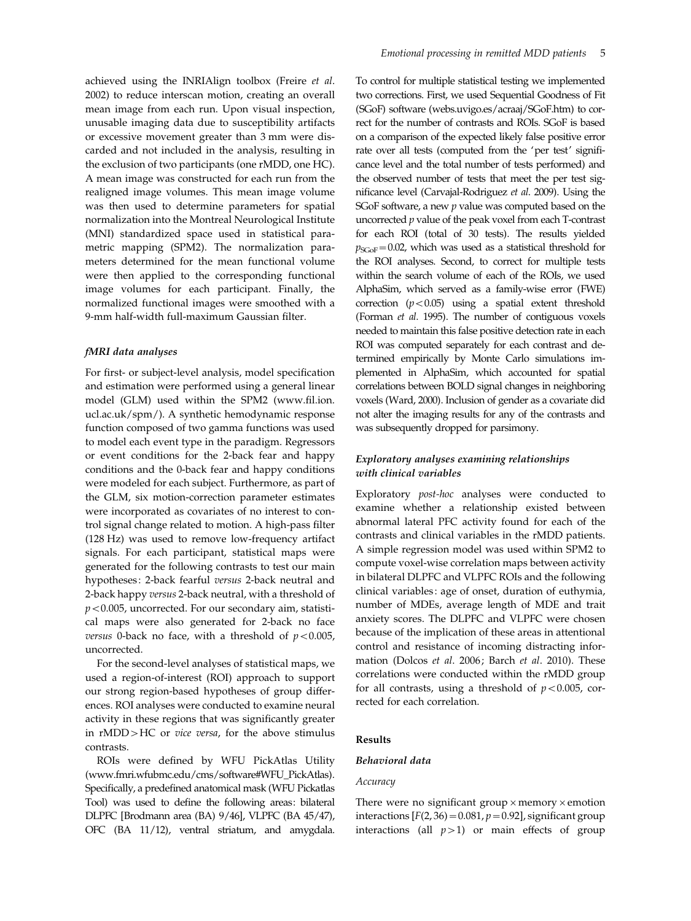achieved using the INRIAlign toolbox (Freire et al. 2002) to reduce interscan motion, creating an overall mean image from each run. Upon visual inspection, unusable imaging data due to susceptibility artifacts or excessive movement greater than 3 mm were discarded and not included in the analysis, resulting in the exclusion of two participants (one rMDD, one HC). A mean image was constructed for each run from the realigned image volumes. This mean image volume was then used to determine parameters for spatial normalization into the Montreal Neurological Institute (MNI) standardized space used in statistical parametric mapping (SPM2). The normalization parameters determined for the mean functional volume were then applied to the corresponding functional image volumes for each participant. Finally, the normalized functional images were smoothed with a 9-mm half-width full-maximum Gaussian filter.

#### fMRI data analyses

For first- or subject-level analysis, model specification and estimation were performed using a general linear model (GLM) used within the SPM2 (www.fil.ion. ucl.ac.uk/spm/). A synthetic hemodynamic response function composed of two gamma functions was used to model each event type in the paradigm. Regressors or event conditions for the 2-back fear and happy conditions and the 0-back fear and happy conditions were modeled for each subject. Furthermore, as part of the GLM, six motion-correction parameter estimates were incorporated as covariates of no interest to control signal change related to motion. A high-pass filter (128 Hz) was used to remove low-frequency artifact signals. For each participant, statistical maps were generated for the following contrasts to test our main hypotheses: 2-back fearful versus 2-back neutral and 2-back happy versus 2-back neutral, with a threshold of  $p$ <0.005, uncorrected. For our secondary aim, statistical maps were also generated for 2-back no face versus 0-back no face, with a threshold of  $p < 0.005$ , uncorrected.

For the second-level analyses of statistical maps, we used a region-of-interest (ROI) approach to support our strong region-based hypotheses of group differences. ROI analyses were conducted to examine neural activity in these regions that was significantly greater in rMDD>HC or vice versa, for the above stimulus contrasts.

ROIs were defined by WFU PickAtlas Utility (www.fmri.wfubmc.edu/cms/software#WFU\_PickAtlas). Specifically, a predefined anatomical mask (WFU Pickatlas Tool) was used to define the following areas: bilateral DLPFC [Brodmann area (BA) 9/46], VLPFC (BA 45/47), OFC (BA 11/12), ventral striatum, and amygdala. To control for multiple statistical testing we implemented two corrections. First, we used Sequential Goodness of Fit (SGoF) software (webs.uvigo.es/acraaj/SGoF.htm) to correct for the number of contrasts and ROIs. SGoF is based on a comparison of the expected likely false positive error rate over all tests (computed from the 'per test' significance level and the total number of tests performed) and the observed number of tests that meet the per test significance level (Carvajal-Rodriguez et al. 2009). Using the SGoF software, a new  $p$  value was computed based on the uncorrected  $p$  value of the peak voxel from each T-contrast for each ROI (total of 30 tests). The results yielded  $p_{SCoF}$ =0.02, which was used as a statistical threshold for the ROI analyses. Second, to correct for multiple tests within the search volume of each of the ROIs, we used AlphaSim, which served as a family-wise error (FWE) correction  $(p<0.05)$  using a spatial extent threshold (Forman et al. 1995). The number of contiguous voxels needed to maintain this false positive detection rate in each ROI was computed separately for each contrast and determined empirically by Monte Carlo simulations implemented in AlphaSim, which accounted for spatial correlations between BOLD signal changes in neighboring voxels (Ward, 2000). Inclusion of gender as a covariate did not alter the imaging results for any of the contrasts and was subsequently dropped for parsimony.

# Exploratory analyses examining relationships with clinical variables

Exploratory post-hoc analyses were conducted to examine whether a relationship existed between abnormal lateral PFC activity found for each of the contrasts and clinical variables in the rMDD patients. A simple regression model was used within SPM2 to compute voxel-wise correlation maps between activity in bilateral DLPFC and VLPFC ROIs and the following clinical variables: age of onset, duration of euthymia, number of MDEs, average length of MDE and trait anxiety scores. The DLPFC and VLPFC were chosen because of the implication of these areas in attentional control and resistance of incoming distracting information (Dolcos et al. 2006; Barch et al. 2010). These correlations were conducted within the rMDD group for all contrasts, using a threshold of  $p < 0.005$ , corrected for each correlation.

#### Results

### Behavioral data

#### Accuracy

There were no significant group  $\times$  memory  $\times$  emotion interactions  $[F(2, 36) = 0.081, p = 0.92]$ , significant group interactions (all  $p>1$ ) or main effects of group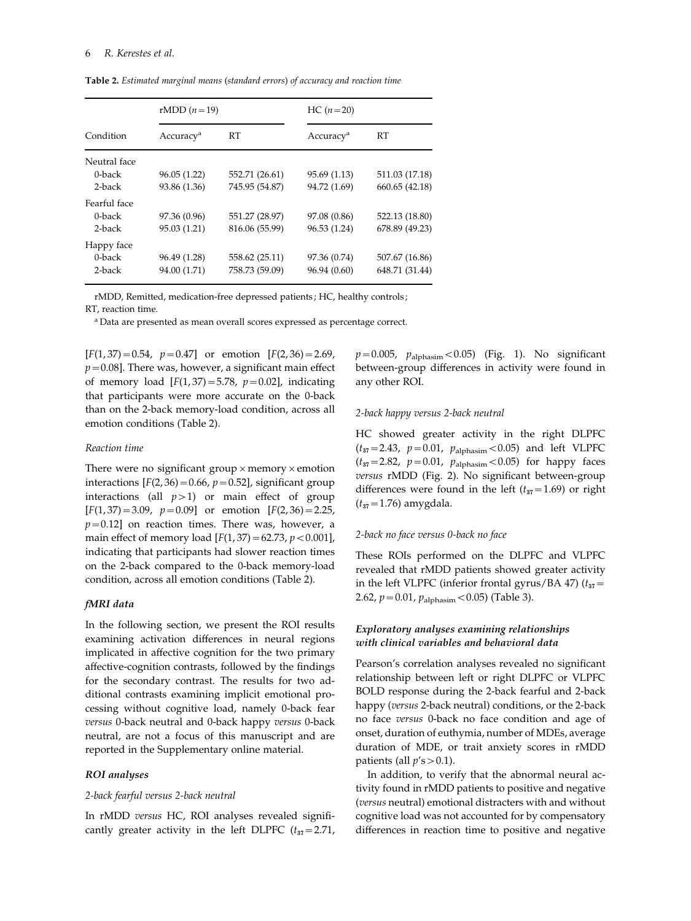Table 2. Estimated marginal means (standard errors) of accuracy and reaction time

|              |                       | rMDD $(n=19)$  |                       | $HC (n = 20)$  |  |  |
|--------------|-----------------------|----------------|-----------------------|----------------|--|--|
| Condition    | Accuracy <sup>a</sup> | RT             | Accuracy <sup>a</sup> | RT             |  |  |
| Neutral face |                       |                |                       |                |  |  |
| $0$ -back    | 96.05(1.22)           | 552.71 (26.61) | 95.69 (1.13)          | 511.03 (17.18) |  |  |
| 2-back       | 93.86 (1.36)          | 745.95 (54.87) | 94.72 (1.69)          | 660.65 (42.18) |  |  |
| Fearful face |                       |                |                       |                |  |  |
| $0$ -back    | 97.36 (0.96)          | 551.27 (28.97) | 97.08 (0.86)          | 522.13 (18.80) |  |  |
| 2-back       | 95.03 (1.21)          | 816.06 (55.99) | 96.53 (1.24)          | 678.89 (49.23) |  |  |
| Happy face   |                       |                |                       |                |  |  |
| $0$ -back    | 96.49 (1.28)          | 558.62 (25.11) | 97.36 (0.74)          | 507.67 (16.86) |  |  |
| $2$ -back    | 94.00 (1.71)          | 758.73 (59.09) | 96.94 (0.60)          | 648.71 (31.44) |  |  |

rMDD, Remitted, medication-free depressed patients ; HC, healthy controls ;

RT, reaction time.

<sup>a</sup> Data are presented as mean overall scores expressed as percentage correct.

 $[F(1, 37) = 0.54, p = 0.47]$  or emotion  $[F(2, 36) = 2.69,$  $p=0.08$ ]. There was, however, a significant main effect of memory load  $[F(1, 37) = 5.78, p=0.02]$ , indicating that participants were more accurate on the 0-back than on the 2-back memory-load condition, across all emotion conditions (Table 2).

#### Reaction time

There were no significant group  $\times$  memory  $\times$  emotion interactions  $[F(2, 36) = 0.66, p = 0.52]$ , significant group interactions (all  $p>1$ ) or main effect of group  $[F(1, 37) = 3.09, p = 0.09]$  or emotion  $[F(2, 36) = 2.25, p = 0.09]$  $p=0.12$ ] on reaction times. There was, however, a main effect of memory load  $[F(1, 37) = 62.73, p < 0.001]$ , indicating that participants had slower reaction times on the 2-back compared to the 0-back memory-load condition, across all emotion conditions (Table 2).

#### fMRI data

In the following section, we present the ROI results examining activation differences in neural regions implicated in affective cognition for the two primary affective-cognition contrasts, followed by the findings for the secondary contrast. The results for two additional contrasts examining implicit emotional processing without cognitive load, namely 0-back fear versus 0-back neutral and 0-back happy versus 0-back neutral, are not a focus of this manuscript and are reported in the Supplementary online material.

#### ROI analyses

#### 2-back fearful versus 2-back neutral

In rMDD versus HC, ROI analyses revealed significantly greater activity in the left DLPFC  $(t_{37}=2.71)$ ,  $p=0.005$ ,  $p_{\text{alphasim}}$  < 0.05) (Fig. 1). No significant between-group differences in activity were found in any other ROI.

#### 2-back happy versus 2-back neutral

HC showed greater activity in the right DLPFC  $(t_{37}=2.43, p=0.01, p_{\text{alphasim}} < 0.05)$  and left VLPFC  $(t_{37}=2.82, p=0.01, p_{\text{alphasim}} < 0.05)$  for happy faces versus rMDD (Fig. 2). No significant between-group differences were found in the left  $(t_{37}=1.69)$  or right  $(t_{37}=1.76)$  amygdala.

## 2-back no face versus 0-back no face

These ROIs performed on the DLPFC and VLPFC revealed that rMDD patients showed greater activity in the left VLPFC (inferior frontal gyrus/BA 47)  $(t_{37}$ 2.62,  $p = 0.01$ ,  $p_{\text{alphasim}} < 0.05$ ) (Table 3).

## Exploratory analyses examining relationships with clinical variables and behavioral data

Pearson's correlation analyses revealed no significant relationship between left or right DLPFC or VLPFC BOLD response during the 2-back fearful and 2-back happy (versus 2-back neutral) conditions, or the 2-back no face versus 0-back no face condition and age of onset, duration of euthymia, number of MDEs, average duration of MDE, or trait anxiety scores in rMDD patients (all  $p's > 0.1$ ).

In addition, to verify that the abnormal neural activity found in rMDD patients to positive and negative (versus neutral) emotional distracters with and without cognitive load was not accounted for by compensatory differences in reaction time to positive and negative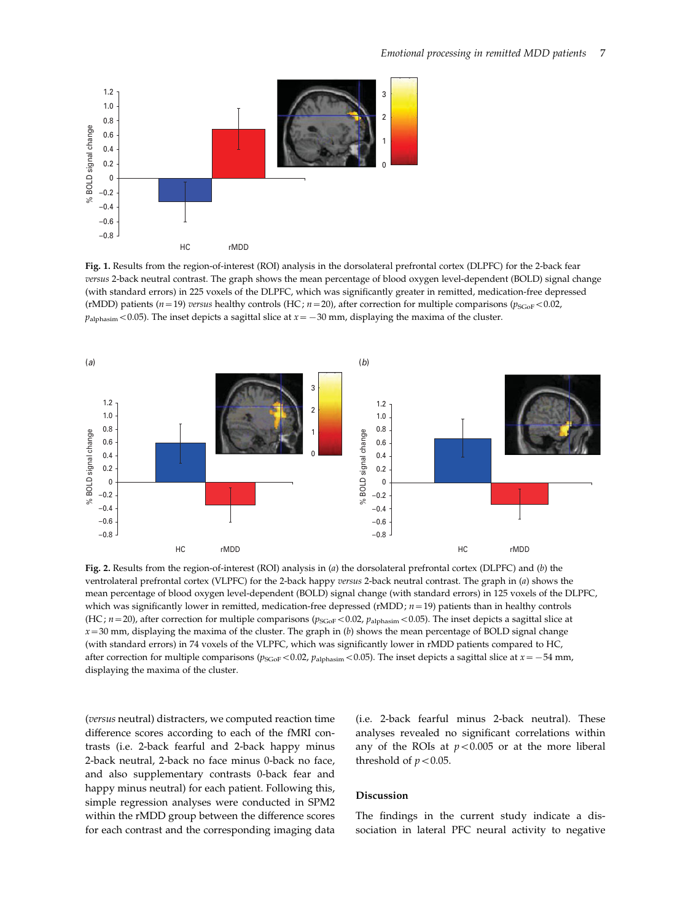

Fig. 1. Results from the region-of-interest (ROI) analysis in the dorsolateral prefrontal cortex (DLPFC) for the 2-back fear versus 2-back neutral contrast. The graph shows the mean percentage of blood oxygen level-dependent (BOLD) signal change (with standard errors) in 225 voxels of the DLPFC, which was significantly greater in remitted, medication-free depressed (rMDD) patients ( $n=19$ ) versus healthy controls (HC;  $n=20$ ), after correction for multiple comparisons ( $p_{SGoF}$ <0.02,  $p_{\text{alphasim}}$  < 0.05). The inset depicts a sagittal slice at  $x = -30$  mm, displaying the maxima of the cluster.



Fig. 2. Results from the region-of-interest (ROI) analysis in (a) the dorsolateral prefrontal cortex (DLPFC) and (b) the ventrolateral prefrontal cortex (VLPFC) for the 2-back happy versus 2-back neutral contrast. The graph in (a) shows the mean percentage of blood oxygen level-dependent (BOLD) signal change (with standard errors) in 125 voxels of the DLPFC, which was significantly lower in remitted, medication-free depressed (rMDD;  $n = 19$ ) patients than in healthy controls (HC;  $n=20$ ), after correction for multiple comparisons ( $p_{SGoF}$  < 0.02,  $p_{\text{alphaism}}$  < 0.05). The inset depicts a sagittal slice at  $x=30$  mm, displaying the maxima of the cluster. The graph in (b) shows the mean percentage of BOLD signal change (with standard errors) in 74 voxels of the VLPFC, which was significantly lower in rMDD patients compared to HC, after correction for multiple comparisons ( $p_{SGOF}$ <0.02,  $p_{\text{alpha}}$ sm <0.05). The inset depicts a sagittal slice at  $x = -54$  mm, displaying the maxima of the cluster.

(versus neutral) distracters, we computed reaction time difference scores according to each of the fMRI contrasts (i.e. 2-back fearful and 2-back happy minus 2-back neutral, 2-back no face minus 0-back no face, and also supplementary contrasts 0-back fear and happy minus neutral) for each patient. Following this, simple regression analyses were conducted in SPM2 within the rMDD group between the difference scores for each contrast and the corresponding imaging data

(i.e. 2-back fearful minus 2-back neutral). These analyses revealed no significant correlations within any of the ROIs at  $p < 0.005$  or at the more liberal threshold of  $p < 0.05$ .

#### Discussion

The findings in the current study indicate a dissociation in lateral PFC neural activity to negative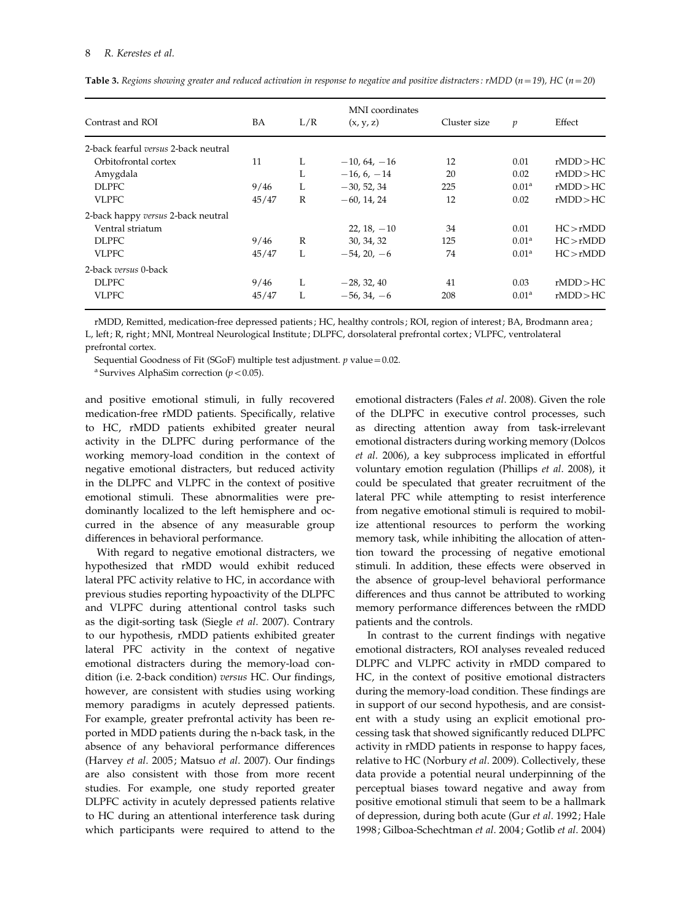| Contrast and ROI                     | BA    | L/R | MNI coordinates<br>(x, y, z) | Cluster size | $\mathfrak p$     | Effect    |
|--------------------------------------|-------|-----|------------------------------|--------------|-------------------|-----------|
| 2-back fearful versus 2-back neutral |       |     |                              |              |                   |           |
| Orbitofrontal cortex                 | 11    | L   | $-10, 64, -16$               | 12           | 0.01              | rMDD > HC |
| Amygdala                             |       | L   | $-16, 6, -14$                | 20           | 0.02              | rMDD > HC |
| <b>DLPFC</b>                         | 9/46  | L   | $-30, 52, 34$                | 225          | 0.01 <sup>a</sup> | rMDD > HC |
| <b>VLPFC</b>                         | 45/47 | R   | $-60.14.24$                  | 12           | 0.02              | rMDD > HC |
| 2-back happy versus 2-back neutral   |       |     |                              |              |                   |           |
| Ventral striatum                     |       |     | $22, 18, -10$                | 34           | 0.01              | HC > rMDD |
| <b>DLPFC</b>                         | 9/46  | R   | 30, 34, 32                   | 125          | 0.01 <sup>a</sup> | HC > rMDD |
| <b>VLPFC</b>                         | 45/47 | L   | $-54, 20, -6$                | 74           | 0.01 <sup>a</sup> | HC > rMDD |
| 2-back versus 0-back                 |       |     |                              |              |                   |           |
| <b>DLPFC</b>                         | 9/46  | L   | $-28, 32, 40$                | 41           | 0.03              | rMDD > HC |
| <b>VLPFC</b>                         | 45/47 | L   | $-56, 34, -6$                | 208          | 0.01 <sup>a</sup> | rMDD > HC |

**Table 3.** Regions showing greater and reduced activation in response to negative and positive distracters: rMDD ( $n=19$ ), HC ( $n=20$ )

rMDD, Remitted, medication-free depressed patients ; HC, healthy controls ; ROI, region of interest; BA, Brodmann area ; L, left ; R, right ; MNI, Montreal Neurological Institute ; DLPFC, dorsolateral prefrontal cortex ; VLPFC, ventrolateral prefrontal cortex.

Sequential Goodness of Fit (SGoF) multiple test adjustment.  $p$  value = 0.02.

<sup>a</sup> Survives AlphaSim correction ( $p < 0.05$ ).

and positive emotional stimuli, in fully recovered medication-free rMDD patients. Specifically, relative to HC, rMDD patients exhibited greater neural activity in the DLPFC during performance of the working memory-load condition in the context of negative emotional distracters, but reduced activity in the DLPFC and VLPFC in the context of positive emotional stimuli. These abnormalities were predominantly localized to the left hemisphere and occurred in the absence of any measurable group differences in behavioral performance.

With regard to negative emotional distracters, we hypothesized that rMDD would exhibit reduced lateral PFC activity relative to HC, in accordance with previous studies reporting hypoactivity of the DLPFC and VLPFC during attentional control tasks such as the digit-sorting task (Siegle et al. 2007). Contrary to our hypothesis, rMDD patients exhibited greater lateral PFC activity in the context of negative emotional distracters during the memory-load condition (i.e. 2-back condition) versus HC. Our findings, however, are consistent with studies using working memory paradigms in acutely depressed patients. For example, greater prefrontal activity has been reported in MDD patients during the n-back task, in the absence of any behavioral performance differences (Harvey et al. 2005; Matsuo et al. 2007). Our findings are also consistent with those from more recent studies. For example, one study reported greater DLPFC activity in acutely depressed patients relative to HC during an attentional interference task during which participants were required to attend to the emotional distracters (Fales et al. 2008). Given the role of the DLPFC in executive control processes, such as directing attention away from task-irrelevant emotional distracters during working memory (Dolcos et al. 2006), a key subprocess implicated in effortful voluntary emotion regulation (Phillips et al. 2008), it could be speculated that greater recruitment of the lateral PFC while attempting to resist interference from negative emotional stimuli is required to mobilize attentional resources to perform the working memory task, while inhibiting the allocation of attention toward the processing of negative emotional stimuli. In addition, these effects were observed in the absence of group-level behavioral performance differences and thus cannot be attributed to working memory performance differences between the rMDD patients and the controls.

In contrast to the current findings with negative emotional distracters, ROI analyses revealed reduced DLPFC and VLPFC activity in rMDD compared to HC, in the context of positive emotional distracters during the memory-load condition. These findings are in support of our second hypothesis, and are consistent with a study using an explicit emotional processing task that showed significantly reduced DLPFC activity in rMDD patients in response to happy faces, relative to HC (Norbury et al. 2009). Collectively, these data provide a potential neural underpinning of the perceptual biases toward negative and away from positive emotional stimuli that seem to be a hallmark of depression, during both acute (Gur et al. 1992; Hale 1998; Gilboa-Schechtman et al. 2004; Gotlib et al. 2004)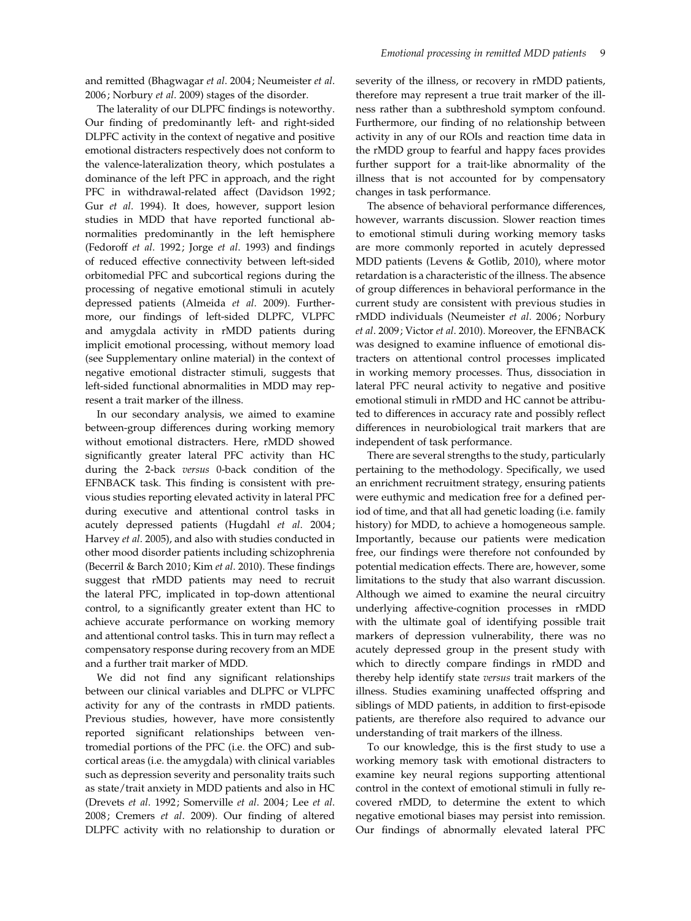and remitted (Bhagwagar et al. 2004; Neumeister et al. 2006; Norbury et al. 2009) stages of the disorder.

The laterality of our DLPFC findings is noteworthy. Our finding of predominantly left- and right-sided DLPFC activity in the context of negative and positive emotional distracters respectively does not conform to the valence-lateralization theory, which postulates a dominance of the left PFC in approach, and the right PFC in withdrawal-related affect (Davidson 1992; Gur et al. 1994). It does, however, support lesion studies in MDD that have reported functional abnormalities predominantly in the left hemisphere (Fedoroff et al. 1992; Jorge et al. 1993) and findings of reduced effective connectivity between left-sided orbitomedial PFC and subcortical regions during the processing of negative emotional stimuli in acutely depressed patients (Almeida et al. 2009). Furthermore, our findings of left-sided DLPFC, VLPFC and amygdala activity in rMDD patients during implicit emotional processing, without memory load (see Supplementary online material) in the context of negative emotional distracter stimuli, suggests that left-sided functional abnormalities in MDD may represent a trait marker of the illness.

In our secondary analysis, we aimed to examine between-group differences during working memory without emotional distracters. Here, rMDD showed significantly greater lateral PFC activity than HC during the 2-back versus 0-back condition of the EFNBACK task. This finding is consistent with previous studies reporting elevated activity in lateral PFC during executive and attentional control tasks in acutely depressed patients (Hugdahl et al. 2004; Harvey et al. 2005), and also with studies conducted in other mood disorder patients including schizophrenia (Becerril & Barch 2010; Kim et al. 2010). These findings suggest that rMDD patients may need to recruit the lateral PFC, implicated in top-down attentional control, to a significantly greater extent than HC to achieve accurate performance on working memory and attentional control tasks. This in turn may reflect a compensatory response during recovery from an MDE and a further trait marker of MDD.

We did not find any significant relationships between our clinical variables and DLPFC or VLPFC activity for any of the contrasts in rMDD patients. Previous studies, however, have more consistently reported significant relationships between ventromedial portions of the PFC (i.e. the OFC) and subcortical areas (i.e. the amygdala) with clinical variables such as depression severity and personality traits such as state/trait anxiety in MDD patients and also in HC (Drevets et al. 1992; Somerville et al. 2004; Lee et al. 2008; Cremers et al. 2009). Our finding of altered DLPFC activity with no relationship to duration or severity of the illness, or recovery in rMDD patients, therefore may represent a true trait marker of the illness rather than a subthreshold symptom confound. Furthermore, our finding of no relationship between activity in any of our ROIs and reaction time data in the rMDD group to fearful and happy faces provides further support for a trait-like abnormality of the illness that is not accounted for by compensatory changes in task performance.

The absence of behavioral performance differences, however, warrants discussion. Slower reaction times to emotional stimuli during working memory tasks are more commonly reported in acutely depressed MDD patients (Levens & Gotlib, 2010), where motor retardation is a characteristic of the illness. The absence of group differences in behavioral performance in the current study are consistent with previous studies in rMDD individuals (Neumeister et al. 2006; Norbury et al. 2009; Victor et al. 2010). Moreover, the EFNBACK was designed to examine influence of emotional distracters on attentional control processes implicated in working memory processes. Thus, dissociation in lateral PFC neural activity to negative and positive emotional stimuli in rMDD and HC cannot be attributed to differences in accuracy rate and possibly reflect differences in neurobiological trait markers that are independent of task performance.

There are several strengths to the study, particularly pertaining to the methodology. Specifically, we used an enrichment recruitment strategy, ensuring patients were euthymic and medication free for a defined period of time, and that all had genetic loading (i.e. family history) for MDD, to achieve a homogeneous sample. Importantly, because our patients were medication free, our findings were therefore not confounded by potential medication effects. There are, however, some limitations to the study that also warrant discussion. Although we aimed to examine the neural circuitry underlying affective-cognition processes in rMDD with the ultimate goal of identifying possible trait markers of depression vulnerability, there was no acutely depressed group in the present study with which to directly compare findings in rMDD and thereby help identify state versus trait markers of the illness. Studies examining unaffected offspring and siblings of MDD patients, in addition to first-episode patients, are therefore also required to advance our understanding of trait markers of the illness.

To our knowledge, this is the first study to use a working memory task with emotional distracters to examine key neural regions supporting attentional control in the context of emotional stimuli in fully recovered rMDD, to determine the extent to which negative emotional biases may persist into remission. Our findings of abnormally elevated lateral PFC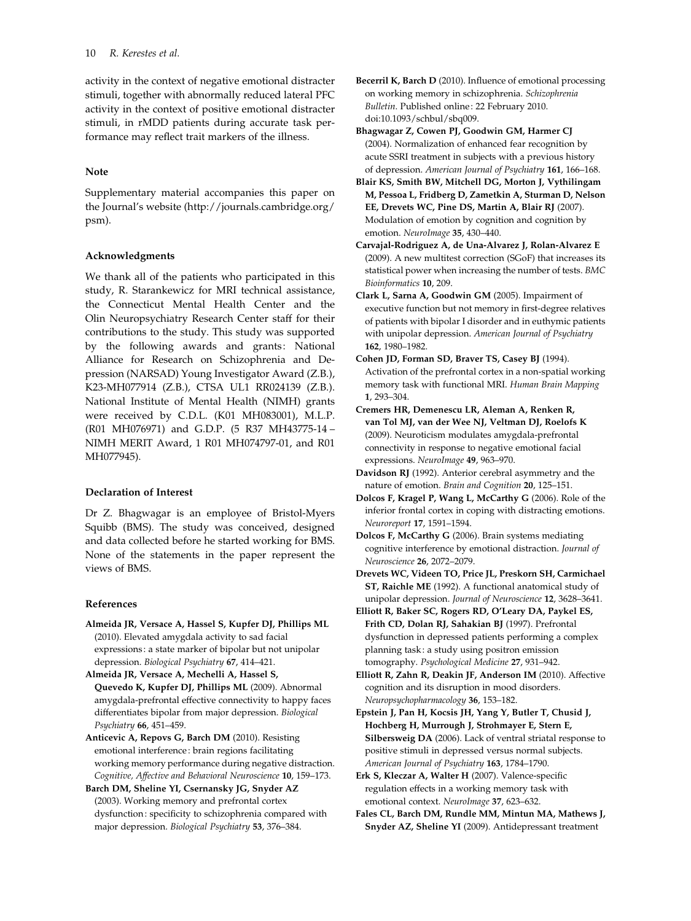activity in the context of negative emotional distracter stimuli, together with abnormally reduced lateral PFC activity in the context of positive emotional distracter stimuli, in rMDD patients during accurate task performance may reflect trait markers of the illness.

# Note

Supplementary material accompanies this paper on the Journal's website (http://journals.cambridge.org/ psm).

# Acknowledgments

We thank all of the patients who participated in this study, R. Starankewicz for MRI technical assistance, the Connecticut Mental Health Center and the Olin Neuropsychiatry Research Center staff for their contributions to the study. This study was supported by the following awards and grants: National Alliance for Research on Schizophrenia and Depression (NARSAD) Young Investigator Award (Z.B.), K23-MH077914 (Z.B.), CTSA UL1 RR024139 (Z.B.). National Institute of Mental Health (NIMH) grants were received by C.D.L. (K01 MH083001), M.L.P. (R01 MH076971) and G.D.P. (5 R37 MH43775-14 – NIMH MERIT Award, 1 R01 MH074797-01, and R01 MH077945).

# Declaration of Interest

Dr Z. Bhagwagar is an employee of Bristol-Myers Squibb (BMS). The study was conceived, designed and data collected before he started working for BMS. None of the statements in the paper represent the views of BMS.

# References

- Almeida JR, Versace A, Hassel S, Kupfer DJ, Phillips ML (2010). Elevated amygdala activity to sad facial expressions : a state marker of bipolar but not unipolar depression. Biological Psychiatry 67, 414–421.
- Almeida JR, Versace A, Mechelli A, Hassel S, Quevedo K, Kupfer DJ, Phillips ML (2009). Abnormal amygdala-prefrontal effective connectivity to happy faces differentiates bipolar from major depression. Biological Psychiatry 66, 451–459.
- Anticevic A, Repovs G, Barch DM (2010). Resisting emotional interference : brain regions facilitating working memory performance during negative distraction. Cognitive, Affective and Behavioral Neuroscience 10, 159–173.
- Barch DM, Sheline YI, Csernansky JG, Snyder AZ (2003). Working memory and prefrontal cortex dysfunction : specificity to schizophrenia compared with major depression. Biological Psychiatry 53, 376–384.
- Becerril K, Barch D (2010). Influence of emotional processing on working memory in schizophrenia. Schizophrenia Bulletin. Published online: 22 February 2010. doi:10.1093/schbul/sbq009.
- Bhagwagar Z, Cowen PJ, Goodwin GM, Harmer CJ (2004). Normalization of enhanced fear recognition by acute SSRI treatment in subjects with a previous history of depression. American Journal of Psychiatry 161, 166–168.
- Blair KS, Smith BW, Mitchell DG, Morton J, Vythilingam M, Pessoa L, Fridberg D, Zametkin A, Sturman D, Nelson EE, Drevets WC, Pine DS, Martin A, Blair RJ (2007). Modulation of emotion by cognition and cognition by emotion. NeuroImage 35, 430–440.
- Carvajal-Rodriguez A, de Una-Alvarez J, Rolan-Alvarez E (2009). A new multitest correction (SGoF) that increases its statistical power when increasing the number of tests. BMC Bioinformatics 10, 209.
- Clark L, Sarna A, Goodwin GM (2005). Impairment of executive function but not memory in first-degree relatives of patients with bipolar I disorder and in euthymic patients with unipolar depression. American Journal of Psychiatry 162, 1980–1982.
- Cohen JD, Forman SD, Braver TS, Casey BJ (1994). Activation of the prefrontal cortex in a non-spatial working memory task with functional MRI. Human Brain Mapping 1, 293–304.
- Cremers HR, Demenescu LR, Aleman A, Renken R, van Tol MJ, van der Wee NJ, Veltman DJ, Roelofs K (2009). Neuroticism modulates amygdala-prefrontal connectivity in response to negative emotional facial expressions. NeuroImage 49, 963–970.
- Davidson RJ (1992). Anterior cerebral asymmetry and the nature of emotion. Brain and Cognition 20, 125–151.
- Dolcos F, Kragel P, Wang L, McCarthy G (2006). Role of the inferior frontal cortex in coping with distracting emotions. Neuroreport 17, 1591–1594.
- Dolcos F, McCarthy G (2006). Brain systems mediating cognitive interference by emotional distraction. Journal of Neuroscience 26, 2072–2079.
- Drevets WC, Videen TO, Price JL, Preskorn SH, Carmichael ST, Raichle ME (1992). A functional anatomical study of unipolar depression. Journal of Neuroscience 12, 3628–3641.
- Elliott R, Baker SC, Rogers RD, O'Leary DA, Paykel ES, Frith CD, Dolan RJ, Sahakian BJ (1997). Prefrontal dysfunction in depressed patients performing a complex planning task : a study using positron emission tomography. Psychological Medicine 27, 931–942.
- Elliott R, Zahn R, Deakin JF, Anderson IM (2010). Affective cognition and its disruption in mood disorders. Neuropsychopharmacology 36, 153–182.
- Epstein J, Pan H, Kocsis JH, Yang Y, Butler T, Chusid J, Hochberg H, Murrough J, Strohmayer E, Stern E, Silbersweig DA (2006). Lack of ventral striatal response to positive stimuli in depressed versus normal subjects. American Journal of Psychiatry 163, 1784-1790.
- Erk S, Kleczar A, Walter H (2007). Valence-specific regulation effects in a working memory task with emotional context. NeuroImage 37, 623–632.
- Fales CL, Barch DM, Rundle MM, Mintun MA, Mathews J, Snyder AZ, Sheline YI (2009). Antidepressant treatment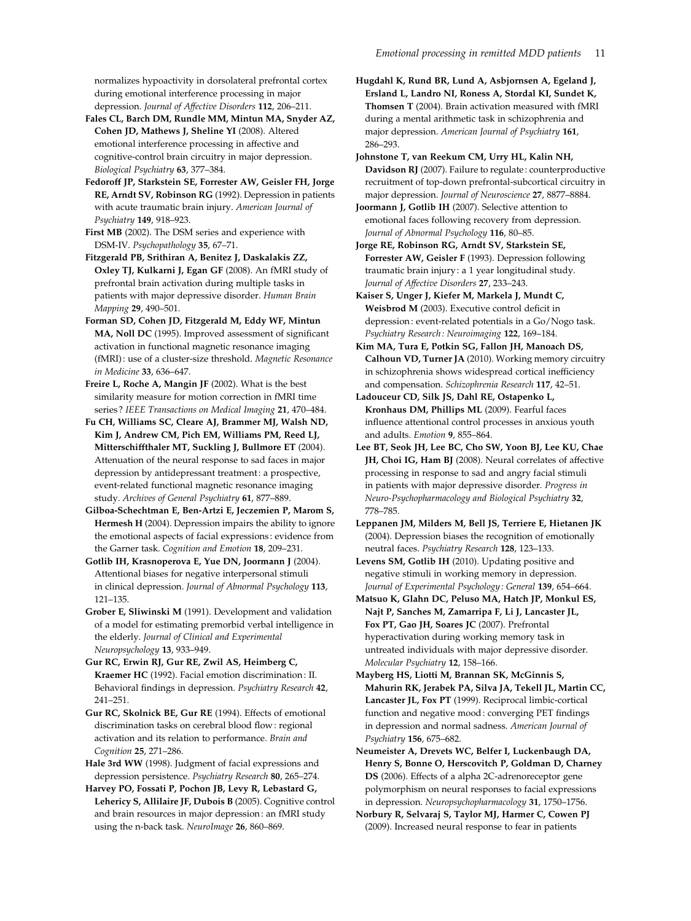normalizes hypoactivity in dorsolateral prefrontal cortex during emotional interference processing in major depression. Journal of Affective Disorders 112, 206–211.

Fales CL, Barch DM, Rundle MM, Mintun MA, Snyder AZ, Cohen JD, Mathews J, Sheline YI (2008). Altered emotional interference processing in affective and cognitive-control brain circuitry in major depression. Biological Psychiatry 63, 377–384.

Fedoroff JP, Starkstein SE, Forrester AW, Geisler FH, Jorge RE, Arndt SV, Robinson RG (1992). Depression in patients with acute traumatic brain injury. American Journal of Psychiatry 149, 918–923.

First MB (2002). The DSM series and experience with DSM-IV. Psychopathology 35, 67–71.

Fitzgerald PB, Srithiran A, Benitez J, Daskalakis ZZ, Oxley TJ, Kulkarni J, Egan GF (2008). An fMRI study of prefrontal brain activation during multiple tasks in patients with major depressive disorder. Human Brain Mapping 29, 490–501.

Forman SD, Cohen JD, Fitzgerald M, Eddy WF, Mintun MA, Noll DC (1995). Improved assessment of significant activation in functional magnetic resonance imaging (fMRI) : use of a cluster-size threshold. Magnetic Resonance in Medicine 33, 636–647.

Freire L, Roche A, Mangin JF (2002). What is the best similarity measure for motion correction in fMRI time series? IEEE Transactions on Medical Imaging 21, 470-484.

Fu CH, Williams SC, Cleare AJ, Brammer MJ, Walsh ND, Kim J, Andrew CM, Pich EM, Williams PM, Reed LJ, Mitterschiffthaler MT, Suckling J, Bullmore ET (2004). Attenuation of the neural response to sad faces in major depression by antidepressant treatment: a prospective, event-related functional magnetic resonance imaging study. Archives of General Psychiatry 61, 877–889.

Gilboa-Schechtman E, Ben-Artzi E, Jeczemien P, Marom S, Hermesh H (2004). Depression impairs the ability to ignore the emotional aspects of facial expressions : evidence from the Garner task. Cognition and Emotion 18, 209–231.

Gotlib IH, Krasnoperova E, Yue DN, Joormann J (2004). Attentional biases for negative interpersonal stimuli in clinical depression. Journal of Abnormal Psychology 113, 121–135.

Grober E, Sliwinski M (1991). Development and validation of a model for estimating premorbid verbal intelligence in the elderly. Journal of Clinical and Experimental Neuropsychology 13, 933–949.

Gur RC, Erwin RJ, Gur RE, Zwil AS, Heimberg C, Kraemer HC (1992). Facial emotion discrimination : II. Behavioral findings in depression. Psychiatry Research 42, 241–251.

Gur RC, Skolnick BE, Gur RE (1994). Effects of emotional discrimination tasks on cerebral blood flow: regional activation and its relation to performance. Brain and Cognition 25, 271–286.

Hale 3rd WW (1998). Judgment of facial expressions and depression persistence. Psychiatry Research 80, 265–274.

Harvey PO, Fossati P, Pochon JB, Levy R, Lebastard G, Lehericy S, Allilaire JF, Dubois B (2005). Cognitive control and brain resources in major depression: an fMRI study using the n-back task. NeuroImage 26, 860–869.

Hugdahl K, Rund BR, Lund A, Asbjornsen A, Egeland J, Ersland L, Landro NI, Roness A, Stordal KI, Sundet K, Thomsen T (2004). Brain activation measured with fMRI during a mental arithmetic task in schizophrenia and major depression. American Journal of Psychiatry 161, 286–293.

Johnstone T, van Reekum CM, Urry HL, Kalin NH, Davidson RJ (2007). Failure to regulate : counterproductive recruitment of top-down prefrontal-subcortical circuitry in major depression. Journal of Neuroscience 27, 8877–8884.

Joormann J, Gotlib IH (2007). Selective attention to emotional faces following recovery from depression. Journal of Abnormal Psychology 116, 80–85.

Jorge RE, Robinson RG, Arndt SV, Starkstein SE, Forrester AW, Geisler F (1993). Depression following traumatic brain injury : a 1 year longitudinal study. Journal of Affective Disorders 27, 233–243.

Kaiser S, Unger J, Kiefer M, Markela J, Mundt C, Weisbrod M (2003). Executive control deficit in depression: event-related potentials in a Go/Nogo task. Psychiatry Research : Neuroimaging 122, 169–184.

Kim MA, Tura E, Potkin SG, Fallon JH, Manoach DS, Calhoun VD, Turner JA (2010). Working memory circuitry in schizophrenia shows widespread cortical inefficiency and compensation. Schizophrenia Research 117, 42–51.

Ladouceur CD, Silk JS, Dahl RE, Ostapenko L, Kronhaus DM, Phillips ML (2009). Fearful faces influence attentional control processes in anxious youth and adults. Emotion 9, 855–864.

Lee BT, Seok JH, Lee BC, Cho SW, Yoon BJ, Lee KU, Chae JH, Choi IG, Ham BJ (2008). Neural correlates of affective processing in response to sad and angry facial stimuli in patients with major depressive disorder. Progress in Neuro-Psychopharmacology and Biological Psychiatry 32, 778–785.

Leppanen JM, Milders M, Bell JS, Terriere E, Hietanen JK (2004). Depression biases the recognition of emotionally neutral faces. Psychiatry Research 128, 123–133.

Levens SM, Gotlib IH (2010). Updating positive and negative stimuli in working memory in depression. Journal of Experimental Psychology : General 139, 654–664.

Matsuo K, Glahn DC, Peluso MA, Hatch JP, Monkul ES, Najt P, Sanches M, Zamarripa F, Li J, Lancaster JL, Fox PT, Gao JH, Soares JC (2007). Prefrontal hyperactivation during working memory task in untreated individuals with major depressive disorder. Molecular Psychiatry 12, 158–166.

Mayberg HS, Liotti M, Brannan SK, McGinnis S, Mahurin RK, Jerabek PA, Silva JA, Tekell JL, Martin CC, Lancaster JL, Fox PT (1999). Reciprocal limbic-cortical function and negative mood : converging PET findings in depression and normal sadness. American Journal of Psychiatry 156, 675–682.

Neumeister A, Drevets WC, Belfer I, Luckenbaugh DA, Henry S, Bonne O, Herscovitch P, Goldman D, Charney DS (2006). Effects of a alpha 2C-adrenoreceptor gene polymorphism on neural responses to facial expressions in depression. Neuropsychopharmacology 31, 1750–1756.

Norbury R, Selvaraj S, Taylor MJ, Harmer C, Cowen PJ (2009). Increased neural response to fear in patients